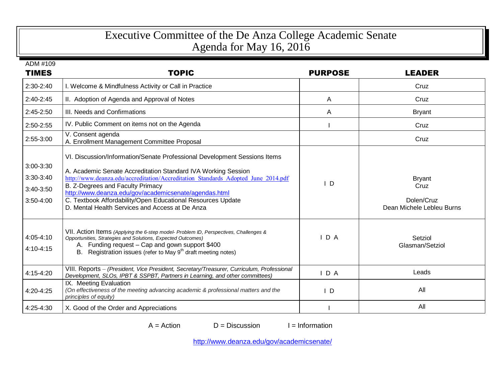## Executive Committee of the De Anza College Academic Senate Agenda for May 16, 2016

| ADM #109<br><b>TIMES</b>                         | <b>TOPIC</b>                                                                                                                                                                                                                                                                                                                                                                                                                                   | <b>PURPOSE</b> | <b>LEADER</b>                                                    |
|--------------------------------------------------|------------------------------------------------------------------------------------------------------------------------------------------------------------------------------------------------------------------------------------------------------------------------------------------------------------------------------------------------------------------------------------------------------------------------------------------------|----------------|------------------------------------------------------------------|
| 2:30-2:40                                        | I. Welcome & Mindfulness Activity or Call in Practice                                                                                                                                                                                                                                                                                                                                                                                          |                | Cruz                                                             |
| $2:40-2:45$                                      | II. Adoption of Agenda and Approval of Notes                                                                                                                                                                                                                                                                                                                                                                                                   | A              | Cruz                                                             |
| 2:45-2:50                                        | III. Needs and Confirmations                                                                                                                                                                                                                                                                                                                                                                                                                   | A              | <b>Bryant</b>                                                    |
| 2:50-2:55                                        | IV. Public Comment on items not on the Agenda                                                                                                                                                                                                                                                                                                                                                                                                  |                | Cruz                                                             |
| 2:55-3:00                                        | V. Consent agenda<br>A. Enrollment Management Committee Proposal                                                                                                                                                                                                                                                                                                                                                                               |                | Cruz                                                             |
| 3:00-3:30<br>3:30-3:40<br>3:40-3:50<br>3:50-4:00 | VI. Discussion/Information/Senate Professional Development Sessions Items<br>A. Academic Senate Accreditation Standard IVA Working Session<br>http://www.deanza.edu/accreditation/Accreditation Standards Adopted June 2014.pdf<br>B. Z-Degrees and Faculty Primacy<br>http://www.deanza.edu/gov/academicsenate/agendas.html<br>C. Textbook Affordability/Open Educational Resources Update<br>D. Mental Health Services and Access at De Anza | $\mathsf{I}$ D | <b>Bryant</b><br>Cruz<br>Dolen/Cruz<br>Dean Michele Lebleu Burns |
| 4:05-4:10<br>4:10-4:15                           | VII. Action Items (Applying the 6-step model- Problem ID, Perspectives, Challenges &<br>Opportunities, Strategies and Solutions, Expected Outcomes)<br>A. Funding request - Cap and gown support \$400<br>B. Registration issues (refer to May 9 <sup>th</sup> draft meeting notes)                                                                                                                                                            | $I$ D A        | Setziol<br>Glasman/Setziol                                       |
| 4:15-4:20                                        | VIII. Reports - (President, Vice President, Secretary/Treasurer, Curriculum, Professional<br>Development, SLOs, IPBT & SSPBT, Partners in Learning, and other committees)                                                                                                                                                                                                                                                                      | IDA            | Leads                                                            |
| 4:20-4:25                                        | IX. Meeting Evaluation<br>(On effectiveness of the meeting advancing academic & professional matters and the<br>principles of equity)                                                                                                                                                                                                                                                                                                          | $\mathsf{I}$ D | All                                                              |
| 4:25-4:30                                        | X. Good of the Order and Appreciations                                                                                                                                                                                                                                                                                                                                                                                                         |                | All                                                              |

 $A = Action$  D = Discussion I = Information

<http://www.deanza.edu/gov/academicsenate/>